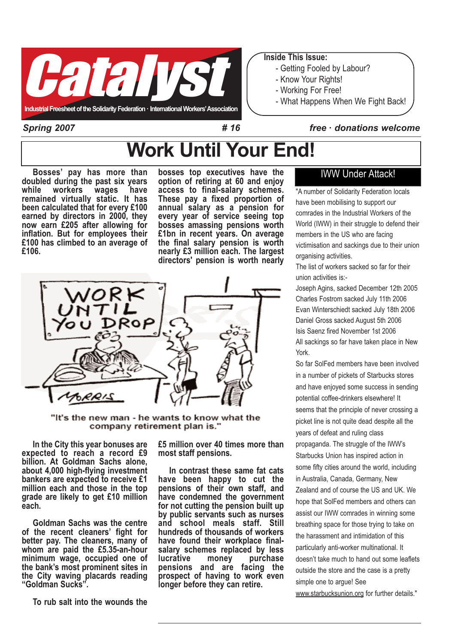

#### Inside This Issue:

- Getting Fooled by Labour?
- Know Your Rights!
- Working For Free!
- What Happens When We Fight Back!

Spring 2007

#### # 16 free · donations welcome

# Work Until Your End!

Bosses' pay has more than doubled during the past six years<br>while workers wages have workers remained virtually static. It has been calculated that for every £100 earned by directors in 2000, they now earn £205 after allowing for inflation. But for employees their £100 has climbed to an average of £106.

bosses top executives have the option of retiring at 60 and enjoy access to final-salary schemes. These pay a fixed proportion of annual salary as a pension for every year of service seeing top bosses amassing pensions worth £1bn in recent years. On average the final salary pension is worth nearly £3 million each. The largest directors' pension is worth nearly



"It's the new man - he wants to know what the company retirement plan is."

In the City this year bonuses are expected to reach a record £9 billion. At Goldman Sachs alone, about 4,000 high-flying investment bankers are expected to receive £1 million each and those in the top grade are likely to get £10 million each.

Goldman Sachs was the centre of the recent cleaners' fight for better pay. The cleaners, many of whom are paid the £5.35-an-hour minimum wage, occupied one of the bank's most prominent sites in the City waving placards reading "Goldman Sucks".

To rub salt into the wounds the

£5 million over 40 times more than most staff pensions.

In contrast these same fat cats have been happy to cut the pensions of their own staff, and have condemned the government for not cutting the pension built up by public servants such as nurses and school meals staff. Still hundreds of thousands of workers have found their workplace finalsalary schemes replaced by less<br>lucrative money purchase purchase pensions and are facing the prospect of having to work even longer before they can retire.

### IWW Under Attack!

"A number of Solidarity Federation locals have been mobilising to support our comrades in the Industrial Workers of the World (IWW) in their struggle to defend their members in the US who are facing victimisation and sackings due to their union organising activities.

The list of workers sacked so far for their union activities is:-

Joseph Agins, sacked December 12th 2005 Charles Fostrom sacked July 11th 2006 Evan Winterschiedt sacked July 18th 2006 Daniel Gross sacked August 5th 2006 Isis Saenz fired November 1st 2006 All sackings so far have taken place in New York.

So far SolFed members have been involved in a number of pickets of Starbucks stores and have enjoyed some success in sending potential coffee-drinkers elsewhere! It seems that the principle of never crossing a picket line is not quite dead despite all the years of defeat and ruling class propaganda. The struggle of the IWW's Starbucks Union has inspired action in some fifty cities around the world, including in Australia, Canada, Germany, New Zealand and of course the US and UK. We hope that SolFed members and others can assist our IWW comrades in winning some breathing space for those trying to take on the harassment and intimidation of this particularly anti-worker multinational. It doesn't take much to hand out some leaflets outside the store and the case is a pretty simple one to arque! See www.starbucksunion.org for further details."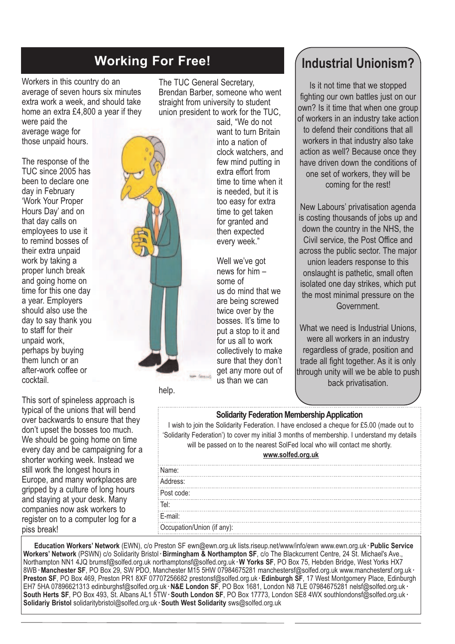# Working For Free!

Workers in this country do an average of seven hours six minutes extra work a week, and should take home an extra £4,800 a year if they

were paid the average wage for those unpaid hours.

The response of the TUC since 2005 has been to declare one day in February 'Work Your Proper Hours Day' and on that day calls on employees to use it to remind bosses of their extra unpaid work by taking a proper lunch break and going home on time for this one day a year. Employers should also use the day to say thank you to staff for their unpaid work, perhaps by buying them lunch or an after-work coffee or cocktail.

This sort of spineless approach is typical of the unions that will bend over backwards to ensure that they don't upset the bosses too much. We should be going home on time every day and be campaigning for a shorter working week. Instead we still work the longest hours in Europe, and many workplaces are gripped by a culture of long hours and staying at your desk. Many companies now ask workers to register on to a computer log for a piss break!

The TUC General Secretary, Brendan Barber, someone who went straight from university to student union president to work for the TUC,

said, "We do not want to turn Britain into a nation of clock watchers, and few mind putting in extra effort from time to time when it is needed, but it is too easy for extra time to get taken for granted and then expected every week."

Well we've got news for him – some of us do mind that we are being screwed twice over by the bosses. It's time to put a stop to it and for us all to work collectively to make sure that they don't get any more out of us than we can

help.

## Industrial Unionism?

Is it not time that we stopped fighting our own battles just on our own? Is it time that when one group of workers in an industry take action to defend their conditions that all workers in that industry also take action as well? Because once they have driven down the conditions of one set of workers, they will be coming for the rest!

New Labours' privatisation agenda is costing thousands of jobs up and down the country in the NHS, the Civil service, the Post Office and across the public sector. The major union leaders response to this onslaught is pathetic, small often isolated one day strikes, which put the most minimal pressure on the Government.

What we need is Industrial Unions. were all workers in an industry regardless of grade, position and trade all fight together. As it is only through unity will we be able to push back privatisation.

#### Solidarity Federation Membership Application

I wish to join the Solidarity Federation. I have enclosed a cheque for £5.00 (made out to 'Solidarity Federation') to cover my initial 3 months of membership. I understand my details will be passed on to the nearest SolFed local who will contact me shortly.

| www.solfed.org.uk          |  |
|----------------------------|--|
| Name:                      |  |
| Address:                   |  |
| Post code:                 |  |
| Tel:                       |  |
| E-mail:                    |  |
| Occupation/Union (if any): |  |
|                            |  |

Education Workers' Network (EWN), c/o Preston SF ewn@ewn.org.uk lists.riseup.net/www/info/ewn www.ewn.org.uk· Public Service Workers' Network (PSWN) c/o Solidarity Bristol · Birmingham & Northampton SF, c/o The Blackcurrent Centre, 24 St. Michael's Ave., Northampton NN1 4JQ brumsf@solfed.org.uk northamptonsf@solfed.org.uk· W Yorks SF, PO Box 75, Hebden Bridge, West Yorks HX7 8WB·Manchester SF, PO Box 29, SW PDO, Manchester M15 5HW 07984675281 manchestersf@solfed.org.uk www.manchestersf.org.uk· Preston SF, PO Box 469, Preston PR1 8XF 07707256682 prestonsf@solfed.org.uk · Edinburgh SF, 17 West Montgomery Place, Edinburgh EH7 5HA 07896621313 edinburghsf@solfed.org.uk · N&E London SF, PO Box 1681, London N8 7LE 07984675281 nelsf@solfed.org.uk · South Herts SF, PO Box 493, St. Albans AL1 5TW· South London SF, PO Box 17773, London SE8 4WX southlondonsf@solfed.org.uk· Solidariy Bristol solidaritybristol@solfed.org.uk· South West Solidarity sws@solfed.org.uk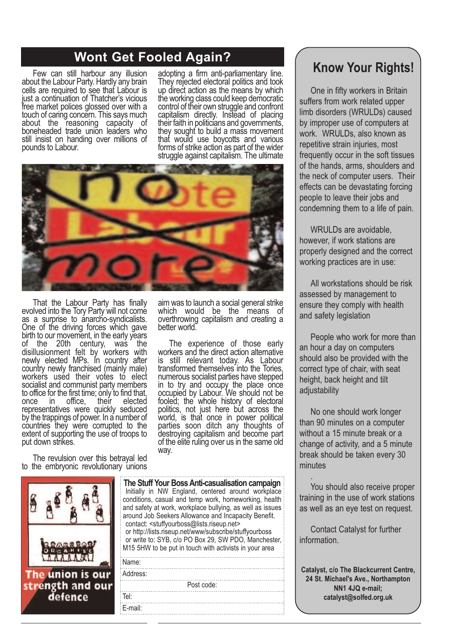# Wont Get Fooled Again?<br>
Know Your Rights!

Few can still harbour any illusion about the Labour Party. Hardly any brain cells are required to see that Labour is just a continuation of Thatcher's vicious free market polices glossed over with a touch of caring concern. This says much about the reasoning capacity of boneheaded trade union leaders who still insist on handing over millions of pounds to Labour.

adopting a firm anti-parliamentary line. They rejected electoral politics and took up direct action as the means by which the working class could keep democratic control of their own struggle and confront capitalism directly. Instead of placing their faith in politicians and governments, they sought to build a mass movement that would use boycotts and various forms of strike action as part of the wider struggle against capitalism. The ultimate



That the Labour Party has finally evolved into the Tory Party will not come as a surprise to anarcho-syndicalists. One of the driving forces which gave birth to our movement, in the early years of the 20th century, was the disillusionment felt by workers with newly elected MPs. In country after country newly franchised (mainly male) workers used their votes to elect socialist and communist party members to office for the first time; only to find that, once in office, their elected representatives were quickly seduced by the trappings of power. In a number of countries they were corrupted to the extent of supporting the use of troops to put down strikes.

The revulsion over this betrayal led to the embryonic revolutionary unions

The union is our strength and our defence

aim was to launch a social general strike which would be the means of overthrowing capitalism and creating a better world.

The experience of those early workers and the direct action alternative is still relevant today. As Labour transformed themselves into the Tories, numerous socialist parties have stepped in to try and occupy the place once occupied by Labour. We should not be fooled; the whole history of electoral politics, not just here but across the world, is that once in power political parties soon ditch any thoughts of destroying capitalism and become part of the elite ruling over us in the same old way.

The Stuff Your Boss Anti-casualisation campaign Initially in NW England, centered around workplace conditions, casual and temp work, homeworking, health and safety at work, workplace bullying, as well as issues around Job Seekers Allowance and Incapacity Benefit. contact: <stuffyourboss@lists.riseup.net> or http://lists.riseup.net/www/subscribe/stuffyourboss or write to: SYB, c/o PO Box 29, SW PDO, Manchester, M15 5HW to be put in touch with activists in your area Name: Address: Post code: Tel: E-mail:

One in fifty workers in Britain suffers from work related upper limb disorders (WRULDs) caused by improper use of computers at work. WRULDs, also known as repetitive strain injuries, most frequently occur in the soft tissues of the hands, arms, shoulders and the neck of computer users. Their effects can be devastating forcing people to leave their jobs and condemning them to a life of pain.

WRULDs are avoidable, however, if work stations are properly designed and the correct working practices are in use:

All workstations should be risk assessed by management to ensure they comply with health and safety legislation

People who work for more than an hour a day on computers should also be provided with the correct type of chair, with seat height, back height and tilt adiustability

No one should work longer than 90 minutes on a computer without a 15 minute break or a change of activity, and a 5 minute break should be taken every 30 minutes

You should also receive proper training in the use of work stations as well as an eye test on request.

.

Contact Catalyst for further information.

Catalyst, c/o The Blackcurrent Centre, 24 St. Michael's Ave., Northampton NN1 4JQ e-mail; catalyst@solfed.org.uk